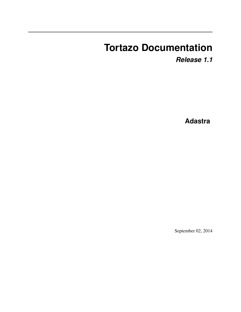# **Tortazo Documentation**

*Release 1.1*

**Adastra**

September 02, 2014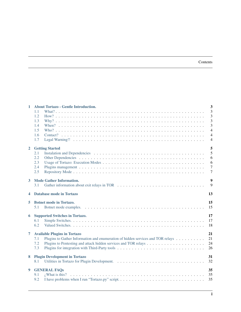| 1              | <b>About Tortazo - Gentle Introduction.</b>                                            | $\overline{\mathbf{3}}$          |
|----------------|----------------------------------------------------------------------------------------|----------------------------------|
|                | 1.1                                                                                    | $\overline{3}$                   |
|                | 1.2                                                                                    | 3                                |
|                | 1.3                                                                                    | 3                                |
|                | 1.4                                                                                    | 3                                |
|                | 1.5                                                                                    | $\overline{4}$<br>$\overline{4}$ |
|                | 1.6<br>1.7                                                                             | $\overline{4}$                   |
|                |                                                                                        |                                  |
| $\overline{2}$ | <b>Getting Started</b>                                                                 | 5                                |
|                | 2.1                                                                                    | 5                                |
|                | 2.2                                                                                    | 6                                |
|                | 2.3                                                                                    | 6                                |
|                | 2.4                                                                                    | $\overline{7}$                   |
|                | 2.5                                                                                    | $\overline{7}$                   |
| 3              | <b>Mode Gather Information.</b>                                                        | 9                                |
|                | 3.1                                                                                    | 9                                |
|                |                                                                                        |                                  |
| 4              | <b>Database mode in Tortazo</b>                                                        | 13                               |
| 5.             | <b>Botnet mode in Tortazo.</b>                                                         | 15                               |
|                | 5.1                                                                                    | 15                               |
| 6              | <b>Supported Switches in Tortazo.</b>                                                  | 17                               |
|                | 6.1                                                                                    | 17                               |
|                | 6.2                                                                                    | 18                               |
|                |                                                                                        |                                  |
| 7              | <b>Available Plugins in Tortazo</b>                                                    | 21                               |
|                | 7.1<br>Plugins to Gather Information and enumeration of hidden services and TOR relays | 21                               |
|                | 7.2<br>7.3                                                                             | 24<br>26                         |
|                |                                                                                        |                                  |
| 8              | <b>Plugin Development in Tortazo</b>                                                   | 31                               |
|                | 8.1                                                                                    | 32                               |
| 9              | <b>GENERAL FAQS</b>                                                                    | 35                               |
|                | 9.1                                                                                    | 35                               |
|                | I have problems when I run "Tortazo.py" script<br>9.2                                  | 35                               |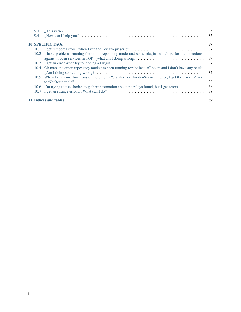|     | 10.6 I'm trying to use shodan to gather information about the relays found, but I get errors               | 38<br>-38 |
|-----|------------------------------------------------------------------------------------------------------------|-----------|
|     | 10.5 When I run some functions of the plugins "crawler" or "hidden Service" twice, I get the error "Reac-  | -38       |
|     | 10.4 Oh man, the onion repository mode has been running for the last "n" hours and I don't have any result | -37       |
|     |                                                                                                            | -37       |
|     |                                                                                                            | 37        |
|     | 10.2 I have problems running the onion repository mode and some plugins which perform connections          |           |
|     |                                                                                                            | 37        |
|     | <b>10 SPECIFIC FAQS</b>                                                                                    | 37        |
| 9.4 |                                                                                                            |           |
|     |                                                                                                            |           |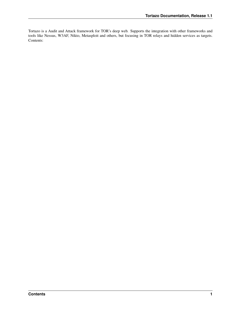Tortazo is a Audit and Attack framework for TOR's deep web. Supports the integration with other frameworks and tools like Nessus, W3AF, Nikto, Metasploit and others, but focusing in TOR relays and hidden services as targets. Contents: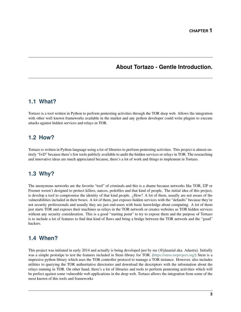## **About Tortazo - Gentle Introduction.**

## <span id="page-6-1"></span><span id="page-6-0"></span>**1.1 What?**

Tortazo is a tool written in Python to perform pentesting activities through the TOR deep web. Allows the integration with other well known frameworks available in the market and any python developer could write plugins to execute attacks against hidden services and relays in TOR.

## <span id="page-6-2"></span>**1.2 How?**

Tortazo is written in Python language using a lot of libraries to perform pentesting activities. This project is almost entirely "I+D" because there's few tools publicly available to audit the hidden services or relays in TOR. The researching and innovative ideas are much appreciated because, there's a lot of work and things to implement in Tortazo.

## <span id="page-6-3"></span>**1.3 Why?**

The anonymous networks are the favorite "tool" of criminals and this is a shame because networks like TOR, I2P or Freenet weren't designed to protect killers, narcos, pedofiles and that kind of people. The initial idea of this project, is develop a tool to compromise the identity of that kind people.  $\lambda$ How? A lot of them, usually are not aware of the vulnerabilities included in their boxes. A lot of them, just exposes hidden services with the "defaults" because they're not security professionals and usually they are just end-users with basic knowledge about computing. A lot of them just starts TOR and exposes their machines as relays in the TOR network or creates websites as TOR hidden services without any security consideration. This is a good "starting point" to try to expose them and the purpose of Tortazo is to include a lot of features to find that kind of flaws and bring a bridge between the TOR network and the "good" hackers.

## <span id="page-6-4"></span>**1.4 When?**

This project was initiated in early 2014 and actually is being developed just by me (@jdaanial aka. Adastra). Initially was a simple prototipe to test the features included in Stem library for TOR. [\(https://stem.torproject.org/\)](https://stem.torproject.org/) Stem is a impresive python library which uses the TOR controller protocol to manage a TOR instance. However, also includes utilities to querying the TOR authoritative directories and download the descriptors with the information about the relays running in TOR. On other hand, there's a lot of libraries and tools to perform pentesting activities which will be perfect against some vulnerable web applications in the deep web. Tortazo allows the integration from some of the most known of this tools and frameworks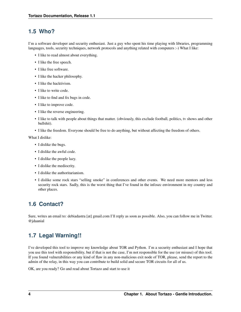## <span id="page-7-0"></span>**1.5 Who?**

I'm a software developer and security enthusiast. Just a guy who spent his time playing with libraries, programming languages, tools, security techniques, network protocols and anything related with computers :-) What I like:

- I like to read almost about everything.
- I like the free speech.
- I like free software.
- I like the hacker philosophy.
- I like the hacktivism.
- I like to write code.
- I like to find and fix bugs in code.
- I like to improve code.
- I like the reverse engineering.
- I like to talk with people about things that matter. (obviously, this exclude football, politics, tv shows and other bullshit).
- I like the freedom. Everyone should be free to do anything, but without affecting the freedom of others.

What I dislike:

- I dislike the bugs.
- I dislike the awful code.
- I dislike the people lazy.
- I dislike the mediocrity.
- I dislike the authoritarianism.
- I dislike some rock stars "selling smoke" in conferences and other events. We need more mentors and less security rock stars. Sadly, this is the worst thing that I've found in the infosec environment in my country and other places.

## <span id="page-7-1"></span>**1.6 Contact?**

Sure, writes an email to: debiadastra [at] gmail.com I'll reply as soon as possible. Also, you can follow me in Twitter. @jdaanial

## <span id="page-7-2"></span>**1.7 Legal Warning!!**

I've developed this tool to improve my knowledge about TOR and Python. I'm a security enthusiast and I hope that you use this tool with responsibility, but if that is not the case, I'm not responsible for the use (or misuse) of this tool. If you found vulnerabilities or any kind of flaw in any non-malicious exit node of TOR, please, send the report to the admin of the relay, in this way you can contribute to build solid and secure TOR circuits for all of us.

OK, are you ready? Go and read about Tortazo and start to use it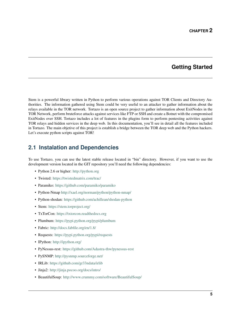## **Getting Started**

<span id="page-8-0"></span>Stem is a powerful library written in Python to perform various operations against TOR Clients and Directory Authorities. The information gathered using Stem could be very useful to an attacker to gather information about the relays available in the TOR network. Tortazo is an open source project to gather information about ExitNodes in the TOR Network, perform bruteforce attacks against services like FTP or SSH and create a Botnet with the compromised ExitNodes over SSH. Tortazo includes a lot of features in the plugins form to perform pentesting activities against TOR relays and hidden services in the deep web. In this documentation, you'll see in detail all the features included in Tortazo. The main objetive of this project is establish a bridge between the TOR deep web and the Python hackers. Let's execute python scripts against TOR!

## <span id="page-8-1"></span>**2.1 Instalation and Dependencies**

To use Tortazo, you can use the latest stable release located in "bin" directory. However, if you want to use the development version located in the GIT repository you'll need the following dependencies:

- Python 2.6 or higher: <http://python.org>
- Twisted: <https://twistedmatrix.com/trac/>
- Paramiko: <https://github.com/paramiko/paramiko>
- Python-Nmap <http://xael.org/norman/python/python-nmap/>
- Python-shodan: <https://github.com/achillean/shodan-python>
- Stem: <https://stem.torproject.org/>
- TxTorCon: <https://txtorcon.readthedocs.org>
- Plumbum: <https://pypi.python.org/pypi/plumbum>
- Fabric: <http://docs.fabfile.org/en/1.8/>
- Requests: <https://pypi.python.org/pypi/requests>
- IPython: <http://ipython.org/>
- PyNessus-rest: <https://github.com/Adastra-thw/pynessus-rest>
- PySNMP: <http://pysnmp.sourceforge.net/>
- IRLib: <https://github.com/gr33ndata/irlib>
- Jinja2: <http://jinja.pocoo.org/docs/intro/>
- BeautifulSoup: <http://www.crummy.com/software/BeautifulSoup/>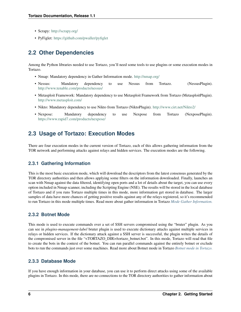- Scrapy: <http://scrapy.org/>
- PyFiglet: <https://github.com/pwaller/pyfiglet>

## <span id="page-9-0"></span>**2.2 Other Dependencies**

Among the Python libraries needed to use Tortazo, you'll need some tools to use plugins or some execution modes in Tortazo.

- Nmap: Mandatory dependency in Gather Information mode. <http://nmap.org/>
- Nessus: Mandatory dependency to use Nessus from Tortazo. (NessusPlugin). <http://www.tenable.com/products/nessus/>
- Metasploit Framework: Mandatory dependency to use Metasploit Framework from Tortazo (MetasploitPlugin). <http://www.metasploit.com/>
- Nikto: Mandatory dependency to use Nikto from Tortazo (NiktoPlugin). <http://www.cirt.net/Nikto2/>
- Nexpose: Mandatory dependency to use Nexpose from Tortazo (NexposePlugin). <https://www.rapid7.com/products/nexpose/>

## <span id="page-9-1"></span>**2.3 Usage of Tortazo: Execution Modes**

There are four execution modes in the current version of Tortazo, each of this allows gathering information from the TOR network and performing attacks against relays and hidden services. The execution modes are the following.

### **2.3.1 Gathering Information**

This is the most basic execution mode, which will download the descriptors from the latest consensus generated by the TOR directory authorities and then allows applying some filters on the information downloaded. Finally, launches an scan with Nmap against the data filtered, identifying open ports and a lot of details about the target, you can use every option included in Nmap scanner, including the Scripting Engine (NSE). The results will be stored in the local database of Tortazo and if you runs Tortazo multiple times in this mode, more information get stored in database. The larger samples of data have more chances of getting positive results against any of the relays registered, so it's recommended to run Tortazo in this mode multiple times. Read more about gather information in Tortazo *[Mode Gather Information.](#page-12-0)*

### **2.3.2 Botnet Mode**

This mode is used to execute commands over a set of SSH servers compromised using the "bruter" plugin. As you can see in *plugins-management-label* bruter plugin is used to execute dictionary attacks against multiple services in relays or hidden services. If the dictionary attack against a SSH server is successful, the plugin writes the details of the compromised server in the file "<TORTAZO\_DIR>/tortazo\_botnet.bot". In this mode, Tortazo will read that file to create the bots in the context of the botnet. You can run parallel commands against the entirely botnet or exclude bots to run the commands just over some machines. Read more about Botnet mode in Tortazo *[Botnet mode in Tortazo.](#page-18-0)*

### **2.3.3 Database Mode**

If you have enough information in your database, you can use it to perform direct attacks using some of the available plugins in Tortazo. In this mode, there are no connections to the TOR directory authorities to gather information about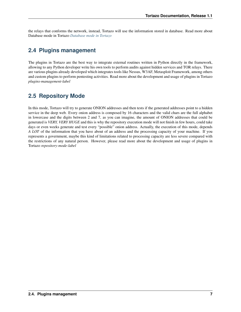the relays that conforms the network, instead, Tortazo will use the information stored in database. Read more about Database mode in Tortazo *[Database mode in Tortazo](#page-16-0)*

## <span id="page-10-0"></span>**2.4 Plugins management**

The plugins in Tortazo are the best way to integrate external routines written in Python directly in the framework, allowing to any Python developer write his own tools to perform audits against hidden services and TOR relays. There are various plugins already developed which integrates tools like Nessus, W3AF, Metasploit Framework, among others and custom plugins to perform pentesting activities. Read more about the development and usage of plugins in Tortazo *plugins-management-label*

## <span id="page-10-1"></span>**2.5 Repository Mode**

In this mode, Tortazo will try to generate ONION addresses and then tests if the generated addresses point to a hidden service in the deep web. Every onion address is composed by 16 characters and the valid chars are the full alphabet in lowercase and the digits between 2 and 7, as you can imagine, the amount of ONION addresses that could be generated is *VERY, VERY HUGE* and this is why the repository execution mode will not finish in few hours, could take days or even weeks generate and test every "possible" onion address. Actually, the execution of this mode, depends *A LOT* of the information that you have about of an address and the processing capacity of your machine. If you represents a government, maybe this kind of limitations related to processing capacity are less severe compared with the restrictions of any natural person. However, please read more about the development and usage of plugins in Tortazo *repository-mode-label*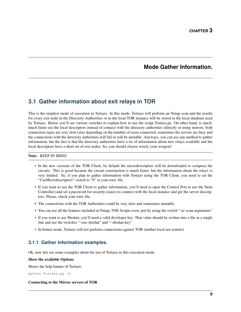## **Mode Gather Information.**

## <span id="page-12-1"></span><span id="page-12-0"></span>**3.1 Gather information about exit relays in TOR**

This is the simplest mode of execution in Tortazo. In this mode, Tortazo will perform an Nmap scan and the results for every exit node in the Directory Authorities or in the local TOR instance will be stored in the local database used by Tortazo. Below you'll see various switches to explain how to use the script Tortazo.py. On other hand, is much, much faster use the local descriptors instead of connect with the directory authorities (directly or using mirrors, both connection types are very slow) also depending on the number of users connected, sometimes the servers are busy and the connections with the directory authorities will fail or will be unstable. Anyways, you can use any method to gather information, but the fact is that the directory authorities have a lot of information about new relays available and the local descriptors have a short set of exit nodes. So, you should choose wisely your weapon!

#### Note: KEEP IN MIND:

- In the new versions of the TOR Client, by default the microdescriptors will be downloaded to compose the circuits. This is good because the circuit construction is much faster, but the information about the relays is very limited. So, if you plan to gather information with Tortazo using the TOR Client, you need to set the "UseMicrodescriptors" switch to "0" in your torrc file.
- If you want to use the TOR Client to gather information, you'll need to open the Control Port to use the Stem Controller (and set a password for security issues) to connect with the local instance and get the server descriptors. Please, check your torrc file.
- The connections with the TOR Authorities could be very slow and sometimes unstable.
- You can use all the features included in Nmap, NSE Scripts even, just by using the switch "-a/–scan-arguments"
- If you want to use Shodan, you'll need a valid developer key. That value should be written into a file in a single line and use the switches "–use-shodan" and "–shodan-key"
- In botnet mode, Tortazo will not perform connections against TOR (neither local nor remote)

### **3.1.1 Gather information examples.**

Ok, now lets see some examples about the use of Tortazo in this execution mode.

#### Show the available Options

Shows the help banner of Tortazo:

python Tortazo.py -h

#### Connecting to the Mirror servers of TOR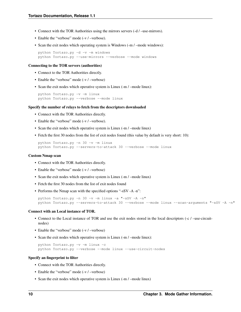- Connect with the TOR Authorities using the mirrors servers (-d / –use-mirrors).
- Enable the "verbose" mode (-v / –verbose).
- Scan the exit nodes which operating system is Windows (-m / –mode windows):

python Tortazo.py -d -v -m windows python Tortazo.py --use-mirrors --verbose --mode windows

#### Connecting to the TOR servers (authorities)

- Connect to the TOR Authorities directly.
- Enable the "verbose" mode (-v / -verbose)
- Scan the exit nodes which operative system is Linux (-m / –mode linux):

```
python Tortazo.py -v -m linux
python Tortazo.py --verbose --mode linux
```
#### Specify the number of relays to fetch from the descriptors downloaded

- Connect with the TOR Authorities directly.
- Enable the "verbose" mode (-v / –verbose).
- Scan the exit nodes which operative system is Linux (-m / –mode linux)
- Fetch the first 30 nodes from the list of exit nodes found (this value by default is very short: 10):

```
python Tortazo.py -n 30 -v -m linux
python Tortazo.py --servers-to-attack 30 --verbose --mode linux
```
#### Custom Nmap scan

- Connect with the TOR Authorities directly.
- Enable the "verbose" mode (-v / –verbose)
- Scan the exit nodes which operative system is Linux (-m / –mode linux)
- Fetch the first 30 nodes from the list of exit nodes found
- Performs the Nmap scan with the specified options "-sSV -A -n":

```
python Tortazo.py -n 30 -v -m linux -a "-sSV -A -n"
python Tortazo.py --servers-to-attack 30 --verbose --mode linux --scan-arguments "-sSV -A -n"
```
#### Connect with an Local instance of TOR.

- Connect to the Local instance of TOR and use the exit nodes stored in the local descriptors (-c / –use-circuitnodes)
- Enable the "verbose" mode (-v / –verbose)
- Scan the exit nodes which operative system is Linux (-m / –mode linux):

```
python Tortazo.py -v -m linux -c
python Tortazo.py --verbose --mode linux --use-circuit-nodes
```
#### Specify an fingerprint to filter

- Connect with the TOR Authorities directly.
- Enable the "verbose" mode (-v / –verbose)
- Scan the exit nodes which operative system is Linux (-m / –mode linux)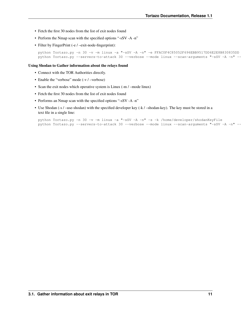- Fetch the first 30 nodes from the list of exit nodes found
- Perform the Nmap scan with the specified options "-sSV -A -n"
- Filter by FingerPrint (-e / –exit-node-fingerprint):

```
python Tortazo.py -n 30 -v -m linux -a "-sSV -A -n" -e FFAC0F4C85052F696EBB9517DD6E2E8B830835DD
python Tortazo.py --servers-to-attack 30 --verbose --mode linux --scan-arguments "-sSV -A -n" --
```
#### Using Shodan to Gather information about the relays found

- Connect with the TOR Authorities directly.
- Enable the "verbose" mode (-v / -verbose)
- Scan the exit nodes which operative system is Linux (-m / –mode linux)
- Fetch the first 30 nodes from the list of exit nodes found
- Performs an Nmap scan with the specified options "-sSV -A -n"
- Use Shodan (-s / –use-shodan) with the specified developer key (-k / –shodan-key). The key must be stored in a text file in a single line:

```
python Tortazo.py -n 30 -v -m linux -a "-sSV -A -n" -s -k /home/developer/shodanKeyFile
python Tortazo.py --servers-to-attack 30 --verbose --mode linux --scan-arguments "-sSV -A -n" --
```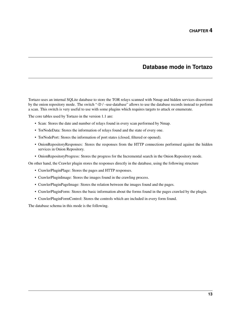## **Database mode in Tortazo**

<span id="page-16-0"></span>Tortazo uses an internal SQLite database to store the TOR relays scanned with Nmap and hidden services discovered by the onion repository mode. The switch "-D / –use-database" allows to use the database records instead to perform a scan. This switch is very useful to use with some plugins which requires targets to attack or enumerate.

The core tables used by Tortazo in the version 1.1 are:

- Scan: Stores the date and number of relays found in every scan performed by Nmap.
- TorNodeData: Stores the information of relays found and the state of every one.
- TorNodePort: Stores the information of port states (closed, filtered or opened).
- OnionRepositoryResponses: Stores the responses from the HTTP connections performed against the hidden services in Onion Repository.
- OnionRepositoryProgress: Stores the progress for the Incremental search in the Onion Repository mode.

On other hand, the Crawler plugin stores the responses directly in the database, using the following structure

- CrawlerPluginPlage: Stores the pages and HTTP responses.
- CrawlerPluginImage: Stores the images found in the crawling process.
- CrawlerPluginPageImage: Stores the relation between the images found and the pages.
- CrawlerPluginForm: Stores the basic information about the forms found in the pages crawled by the plugin.
- CrawlerPluginFormControl: Stores the controls which are included in every form found.

The database schema in this mode is the following.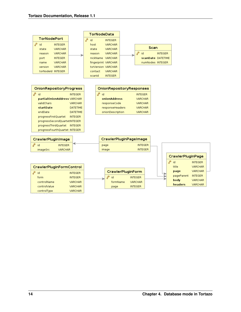

page

**INTEGER** 

controlValue

controlType

VARCHAR

VARCHAR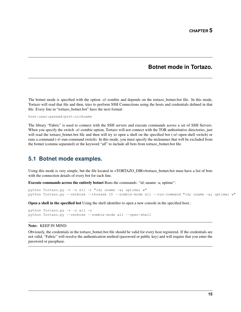### **Botnet mode in Tortazo.**

<span id="page-18-0"></span>The botnet mode is specified with the option -z/–zombie and depends on the tortazo\_botnet.bot file. In this mode, Tortazo will read that file and then, tries to perform SSH Connections using the hosts and credentials defined in that file. Every line in "tortazo\_botnet.bot" have the next format:

host:user:passwd:port:nickname

The library "Fabric" is used to connect with the SSH servers and execute commands across a set of SSH Servers. When you specify the switch -z/-zombie option, Tortazo will not connect with the TOR authoritative directories, just will read the tortazo\_botnet.bot file and then will try to open a shell on the specified bot (-o/–open-shell switch) or runs a command (-r/–run-command switch). In this mode, you must specify the nicknames that will be excluded from the botnet (comma separated) or the keyword "all" to include all bots from tortazo\_botnet.bot file.

### <span id="page-18-1"></span>**5.1 Botnet mode examples.**

Using this mode is very simple, but the file located in <TORTAZO\_DIR>/tortazo\_botnet.bot must have a list of bots with the connection details of every bot for each line.

Execute commands across the entirely botnet Runs the commands: "id; uname -a; uptime":

```
python Tortazo.py -v -z all -r "id; uname -a; uptime; w"
python Tortazo.py --verbose --threads 10 --zombie-mode all --run-command "id; uname -a; uptime; w"
```
Open a shell in the specified bot Using the shell identifier to open a new console in the specified host.:

```
python Tortazo.py -v -z all -o
python Tortazo.py --verbose --zombie-mode all --open-shell
```
#### Note: KEEP IN MIND:

Obviously, the credentials in the tortazo\_botnet.bot file should be valid for every host registered. If the credentials are not valid, "Fabric" will resolve the authentication method (password or public key) and will require that you enter the password or passphase.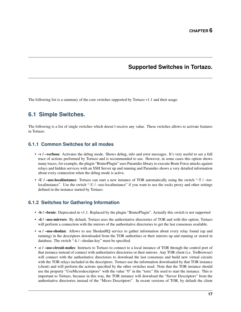## **Supported Switches in Tortazo.**

<span id="page-20-0"></span>The following list is a summary of the core switches supported by Tortazo v1.1 and their usage.

## <span id="page-20-1"></span>**6.1 Simple Switches.**

The following is a list of single switches which doesn't receive any value. These switches allows to activate features in Tortazo.

### **6.1.1 Common Switches for all modes**

- -v / –verbose: Activates the debug mode. Shows debug, info and error messages. It's very useful to see a full trace of actions performed by Tortazo and is recommended to use. However, in some cases this option shows many traces, for example, the plugin "BruterPlugin" uses Paramiko library to execute Brute Force attacks against relays and hidden services with an SSH Server up and running and Paramiko shows a very detailed information about every connection when the debug mode is active.
- -U / –use-localinstance: Tortazo can start a new instance of TOR automatically using the switch "-T / –torlocalinstance". Use the switch "-U / –use-localinstance" if you want to use the socks proxy and other settings defined in the instance started by Tortazo.

### **6.1.2 Switches for Gathering Information**

- -b / –brute: Deprecated in v1.1. Replaced by the plugin "BruterPlugin". Actually this switch is not supported
- -d / –use-mirrors: By default, Tortazo uses the authoritative directories of TOR and with this option, Tortazo will perform a connection with the mirrors of the authoritative directories to get the last consensus available.
- -s / -use-shodan: Allows to use ShodanHQ service to gather information about every relay found (up and running) in the descriptors downloaded from the TOR authorities or their mirrors up and running or stored in database. The switch "-k / –shodan-key" must be specified.
- -c / –use-circuit-nodes: Instructs to Tortazo to connect to a local instance of TOR through the control port of that instance instead of connect with authoritative directories or their mirrors. Any TOR client (i.e. TorBrowser) will connect with the authoritative directories to download the last consensus and build new virtual circuits with the TOR relays included in the descriptors. Tortazo use the information downloaded by that TOR instance (client) and will perform the actions specified by the other switches used. Note that the TOR instance should use the property "UseMicrodescriptors" with the value "0" in the "torrc" file used to start the instance. This is important to Tortazo, because in this way, the TOR instance will download the "Server Descriptors" from the authoritative directories instead of the "Micro Descriptors". In recent versions of TOR, by default the client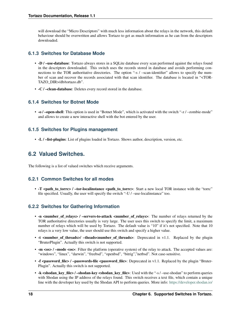will download the "Micro Descriptors" with much less information about the relays in the network, this default behaviour should be overwritten and allows Tortazo to get as much information as he can from the descriptors downloaded.

### **6.1.3 Switches for Database Mode**

- -D / –use-database: Tortazo always stores in a SQLite database every scan performed against the relays found in the descriptors downloaded. This switch uses the records stored in database and avoids performing connections to the TOR authoritative directories. The option "-s / –scan-identifier" allows to specify the number of scan and recover the records associated with that scan identifier. The database is located in "<TOR-TAZO\_DIR>/db/tortazo.db".
- -C / –clean-database: Deletes every record stored in the database.

### **6.1.4 Switches for Botnet Mode**

• -o / -open-shell: This option is used in "Botnet Mode", which is activated with the switch "-z / -zombie-mode" and allows to create a new interactive shell with the bot entered by the user.

### **6.1.5 Switches for Plugins management**

• -L / –list-plugins: List of plugins loaded in Tortazo. Shows author, description, version, etc.

## <span id="page-21-0"></span>**6.2 Valued Switches.**

The following is a list of valued switches which receive arguments.

### **6.2.1 Common Switches for all modes**

• T <path\_to\_torrc> / -tor-localinstance <path\_to\_torrc>: Start a new local TOR instance with the "torrc" file specified. Usually, the user will specify the switch "-U / –use-localinstance" too.

### **6.2.2 Switches for Gathering Information**

- -n <number\_of\_relays> / -servers-to-attack <number\_of\_relays>: The number of relays returned by the TOR authoritative directories usually is very large. The user uses this switch to specify the limit, a maximum number of relays which will be used by Tortazo. The default value is "10" if it's not specified. Note that 10 relays is a very low value, the user should use this switch and specify a higher value.
- -t <number\_of\_threads>/ -theads<number\_of\_threads>: Deprecated in v1.1. Replaced by the plugin "BruterPlugin". Actually this switch is not supported.
- -m <os> / -mode <os>: Filter the platform (operative system) of the relay to attack. The accepted values are: "windows", "linux", "darwin", "freebsd", "openbsd", "bitrig","netbsd". Not case-sensitive.
- -f <password\_file> / -passwords-file <password\_file>: Deprecated in v1.1. Replaced by the plugin "Bruter-Plugin". Actually this switch is not supported.
- -k <shodan\_key\_file> / -shodan-key <shodan\_key\_file>: Used with the "-s / -use-shodan" to perform queries with Shodan using the IP address of the relays found. This switch receives a text file, which contain a unique line with the developer key used by the Shodan API to perform queries. More info: <https://developer.shodan.io/>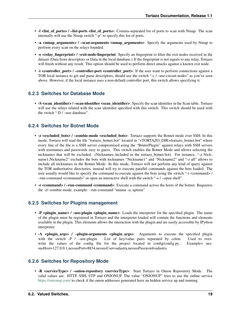- -l <list of ports> / –list-ports <list of ports>: Comma-separated list of ports to scan with Nmap. The scan internally will use the Nmap switch "-p" to specify this list of ports.
- -a <nmap\_arguments> / -scan-arguments <nmap\_arguments>: Specify the arguments used by Nmap to perform every scan on the relays founded.
- -e <relay fingerprint> / –exit-node-fingerprint: Specify an fingerprint to filter the exit nodes received in the dataset (Data from descriptors or Data in the local database.) If the fingerprint is not equals to any relay, Tortazo will finish without any result. This option should be used to perform direct attacks against a known exit node.
- -i <controller\_port> / -controller-port <controller\_port>: If the user want to perform connections against a TOR local instance to get and parse descriptors, should use the switch "-c / –use-circuit-nodes" as you've seen above. However, if the local instance uses a non-default controller port, this switch allows specifying it.

### **6.2.3 Switches for Database Mode**

• -S <scan\_identifier> / -scan-identifier <scan\_identifier>: Specify the scan identifier in the Scan table. Tortazo will use the relays related with the scan identifier specified with this switch. This switch should be used with the switch "-D / –use-database".

### **6.2.4 Switches for Botnet Mode**

- -z <excluded\_bots> / –zombie-mode <excluded\_bots>: Tortazo supports the Botnet mode over SSH. In this mode, Tortazo will read the file "tortazo\_botnet.bot" located in "<TORTAZO\_DIR>/tortazo\_botnet.bot" where every line of the file is a SSH server compromised using the "BruterPlugin" against relays with SSH servers with usernames and passwords easy to guess. This switch enables the Botnet Mode and allows selecting the nicknames that will be excluded. (Nicknames included in the tortazo\_botnet.bot). For instance, "-z Nickname1,Nickname2" excludes the bots with nicknames "Nickname1" and "Nickname2" and "-z all" allows to include all nicknames in the Botnet Mode. In this mode, Tortazo will not perform any kind of query against the TOR authoritative directories, instead will try to execute parallel commands against the bots loaded. The user usually would like to specify the command to execute against the bots using the switch "-r <command> / –run-command <command>" or open an interactive shell with the switch "-o / –open-shell".
- -r <command> / –run-command <command>: Execute a command across the hosts of the botnet. Requieres the -z/–zombie-mode. example: –run-command "uname -a; uptime"

### **6.2.5 Switches for Plugins management**

- -P <plugin\_name> / -use-plugin <plugin\_name>: Loads the interpreter for the specified plugin. The name of the plugin must be registered in Tortazo and the interpreter loaded will contain the functions and elements available in the plugin. This elements allows the interaction with the plugin and are easily accessible by IPython interpreter.
- -A <plugin\_args> / –plugin-arguments <plugin\_args>: Arguments to execute the specified plugin with the switch -P / -use-plugin. List of key/value pairs separated by colon. Used to overwrite the values of the config file for the project located in config/config.py. Example= nessusHost=127.0.0.1,nessusPort=8834,nessusUser=adastra,nessusPassword=adastra

### **6.2.6 Switches for Repository Mode**

• -R <serviceType> / -onion-repository <serviceType>: Start Tortazo in Onion Repository Mode. The valid values are: HTTP, SSH, FTP and ONIONUP. The value "ONIONUP" tries to use the online service <https://onionup.com/> to check if the onion addresses generated have an hidden service up and running.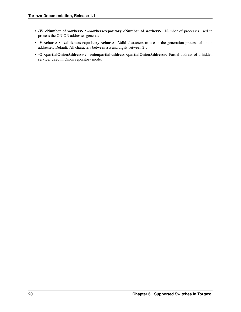- -W <Number of workers> / –workers-repository <Number of workers>: Number of processes used to process the ONION addresses generated.
- -V <chars> / –validchars-repository <chars>: Valid characters to use in the generation process of onion addresses. Default: All characters between a-z and digits between 2-7
- -O <partialOnionAddress> / -onionpartial-address <partialOnionAddress>: Partial address of a hidden service. Used in Onion repository mode.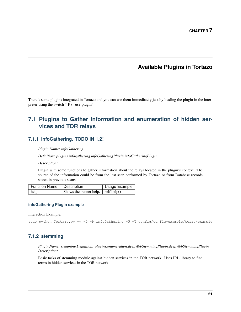## **Available Plugins in Tortazo**

<span id="page-24-0"></span>There's some plugins integrated in Tortazo and you can use them immediately just by loading the plugin in the interpreter using the switch "-P / –use-plugin".

## <span id="page-24-1"></span>**7.1 Plugins to Gather Information and enumeration of hidden services and TOR relays**

### **7.1.1 infoGathering. TODO IN 1.2!**

*Plugin Name: infoGathering*

*Definition: plugins.infogathering.infoGatheringPlugin.infoGatheringPlugin*

*Description:*

Plugin with some functions to gather information about the relays located in the plugin's context. The source of the information could be from the last scan performed by Tortazo or from Database records stored in previous scans.

| Function Name   Description |                                            | Usage Example |
|-----------------------------|--------------------------------------------|---------------|
| help                        | Shows the banner help. $\vert$ self.help() |               |

#### **infoGathering Plugin example**

Interaction Example:

sudo python Tortazo.py -v -D -P infoGathering -U -T config/config-example/torrc-example

### **7.1.2 stemming**

*Plugin Name: stemming Definition: plugins.enumeration.deepWebStemmingPlugin.deepWebStemmingPlugin Description:*

Basic tasks of stemming module against hidden services in the TOR network. Uses IRL library to find terms in hidden services in the TOR network.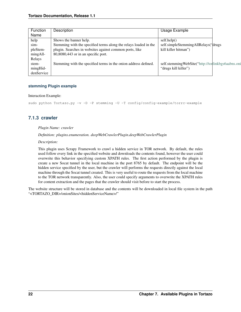| Function   | Description                                                      | Usage Example                                     |  |
|------------|------------------------------------------------------------------|---------------------------------------------------|--|
| Name       |                                                                  |                                                   |  |
| help       | Shows the banner help.                                           | self.help()                                       |  |
| sim-       | Stemming with the specified terms along the relays loaded in the | self.simpleStemmingAllRelays("drugs               |  |
| pleStem-   | plugin. Searches in websites against common ports, like          | kill killer hitman")                              |  |
| mingAll-   | 80,8080,443 or in an specific port.                              |                                                   |  |
| Relays     |                                                                  |                                                   |  |
| stem-      | Stemming with the specified terms in the onion address defined.  | self.stemmingWebSite("http://torlinkbgs6aabns.oni |  |
| mingHid-   |                                                                  | "drugs kill killer")                              |  |
| denService |                                                                  |                                                   |  |

#### **stemming Plugin example**

#### Interaction Example:

sudo python Tortazo.py -v -D -P stemming -U -T config/config-example/torrc-example

### **7.1.3 crawler**

#### *Plugin Name: crawler*

#### *Definition: plugins.enumeration. deepWebCrawlerPlugin.deepWebCrawlerPlugin*

#### *Description:*

This plugin uses Scrapy Framework to crawl a hidden service in TOR network. By default, the rules used follow every link in the specified website and downloads the contents found, however the user could overwrite this behavior specifying custom XPATH rules. The first action performed by the plugin is create a new Socat tunnel in the local machine in the port 8765 by default. The endpoint will be the hidden service specified by the user, but the crawler will performs the requests directly against the local machine through the Socat tunnel created. This is very useful to route the requests from the local machine to the TOR network transparently. Also, the user could specify arguments to overwrite the XPATH rules for content extraction and the pages that the crawler should visit before to start the process.

The website structure will be stored in database and the contents will be downloaded in local file system in the path "<TORTAZO\_DIR>/onionSites/<hiddenServiceName>/"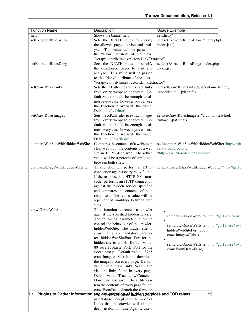| <b>Function Name</b>            | Description                                                                          | <b>Usage Example</b>                               |  |
|---------------------------------|--------------------------------------------------------------------------------------|----------------------------------------------------|--|
| help                            | Shows the banner help.                                                               | self.help()                                        |  |
| setExtractorRulesAllow          | Sets the XPATH rules to specify                                                      | self.setExtractorRulesAllow("index.phpl            |  |
|                                 | the allowed pages to visit and anal-                                                 | index.jsp")                                        |  |
|                                 | yse. This value will be passed to                                                    |                                                    |  |
|                                 | the "allow" attribute of the class:                                                  |                                                    |  |
|                                 | "scrapy.contrib.linkextractors.LinkExtractor"                                        |                                                    |  |
| setExtractorRulesDeny           | Sets the XPATH rules to specify                                                      | self.setExtractorRulesDeny("index.phpl             |  |
|                                 | the disallowed pages to visit and                                                    | index.jsp")                                        |  |
|                                 | analyze. This value will be passed                                                   |                                                    |  |
|                                 | to the "deny" attribute of the class:                                                |                                                    |  |
|                                 |                                                                                      |                                                    |  |
|                                 | "scrapy.contrib.linkextractors.LinkExtractor"                                        |                                                    |  |
| setCrawlRulesLinks              | Sets the XPath rules to extract links                                                | self.setCrawlRulesLinks('//a[contains(@href,       |  |
|                                 | from every webpage analyzed. De-                                                     | "confidential")]/@href")                           |  |
|                                 | fault value should be enough to al-                                                  |                                                    |  |
|                                 | most every case, however you can use                                                 |                                                    |  |
|                                 | this function to overwrite this value.                                               |                                                    |  |
|                                 | Default: '//a/@href'                                                                 |                                                    |  |
| setCrawlRulesImages             | Sets the XPath rules to extract images                                               | self.setCrawlRulesImages('//a[contain\$(@href,     |  |
|                                 | from every webpage analyzed. De-                                                     | "image")]/@href")                                  |  |
|                                 | fault value should be enough to al-                                                  |                                                    |  |
|                                 | most every case, however you can use                                                 |                                                    |  |
|                                 | this function to overwrite this value.                                               |                                                    |  |
|                                 | Default: '//img/@src'                                                                |                                                    |  |
| compareWebSiteWithHiddenWebSite | Compares the contents of a website in                                                | self.compareWebSiteWithHiddenWeb\$ite("http://exit |  |
|                                 | clear web with the contents of a web                                                 | relay-found.com/",                                 |  |
|                                 | site in TOR's deep web. The return                                                   | "http://gai12dase4sw3f5a.onion/")                  |  |
|                                 | value will be a percent of similitude                                                |                                                    |  |
|                                 | between both sites.                                                                  |                                                    |  |
| compareRelaysWithHiddenWebSite  | This function will perform an HTTP                                                   | self.compareRelaysWithHiddenWebSite("http://gai12  |  |
|                                 | connection against every relay found.                                                |                                                    |  |
|                                 | If the response is a HTTP 200 status                                                 |                                                    |  |
|                                 | code, performs an HTTP connection                                                    |                                                    |  |
|                                 | against the hidden service specified                                                 |                                                    |  |
|                                 | and compares the contents of both                                                    |                                                    |  |
|                                 | responses. The return value will be                                                  |                                                    |  |
|                                 | a percent of similitude between both                                                 |                                                    |  |
|                                 | sites.                                                                               |                                                    |  |
| crawlOnionWebSite               | This function executes a crawler                                                     |                                                    |  |
|                                 | against the specified hidden service.                                                |                                                    |  |
|                                 | The following parameters allow to                                                    | self.crawlOnionWebSite("http://gai12dase4sw3       |  |
|                                 | control the behaviour of the crawler:                                                |                                                    |  |
|                                 | hiddenWebSite: The hidden site to                                                    | self.crawlOnionWebSite("http://gai12dase4sw3       |  |
|                                 | crawl. This is a mandatory parame-                                                   | hiddenWebSitePort=8080,                            |  |
|                                 | ter. hiddenWebSitePort: Port for the                                                 | crawlImages=False)                                 |  |
|                                 | hidden site to crawl. Default value:                                                 |                                                    |  |
|                                 | 80 socatTcpListenPort: Port for the                                                  | self.crawlOnionWebSite("http://gai12dase4sw3       |  |
|                                 | Socat proxy. Default value: 8765                                                     | crawlFormData=False)                               |  |
|                                 | crawlImages: Search and download                                                     |                                                    |  |
|                                 | the images from every page. Default                                                  |                                                    |  |
|                                 | value: True. crawlLinks: Search and                                                  |                                                    |  |
|                                 |                                                                                      |                                                    |  |
|                                 | visit the links found in every page.                                                 |                                                    |  |
|                                 | Default value: True. crawlContents:                                                  |                                                    |  |
|                                 | Download and save in local file sys-                                                 |                                                    |  |
|                                 | tem the contents of every page found.                                                |                                                    |  |
|                                 | crawlFormData: Search the forms in                                                   |                                                    |  |
|                                 | 7.1. Plugins to Gather Information and enumeration of hidden services and TOR relays | 23                                                 |  |
|                                 | in database. deepLinks: Number of                                                    |                                                    |  |
|                                 | Links that the crawler will visit in                                                 |                                                    |  |
|                                 | deep. useRandomUserAgents: Use a                                                     |                                                    |  |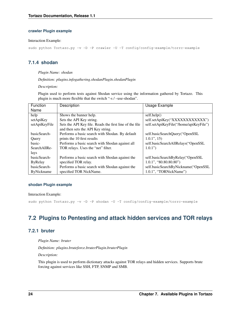#### **crawler Plugin example**

#### Interaction Example:

sudo python Tortazo.py -v -D -P crawler -U -T config/config-example/torrc-example

### **7.1.4 shodan**

#### *Plugin Name: shodan*

*Definition: plugins.infogathering.shodanPlugin.shodanPlugin*

*Description:*

Plugin used to perform tests against Shodan service using the information gathered by Tortazo. This plugin is much more flexible that the switch "-s / –use-shodan".

| Function          | Description                                             | Usage Example                          |
|-------------------|---------------------------------------------------------|----------------------------------------|
| Name              |                                                         |                                        |
| help              | Shows the banner help.                                  | self.help()                            |
| setApiKey         | Sets the API Key string.                                | self.setApiKey("XXXXXXXXXXXX")         |
| setApiKeyFile     | Sets the API Key file. Reads the first line of the file | self.setApiKeyFile("/home/apiKeyFile") |
|                   | and then sets the API Key string.                       |                                        |
| basicSearch-      | Performs a basic search with Shodan. By default         | self.basicSearchQuery("OpenSSL         |
| Query             | prints the 10 first results                             | $1.0.1$ ", 15)                         |
| basic-            | Performs a basic search with Shodan against all         | self.basicSearchAllRelays("OpenSSL     |
| SearchAllRe-      | TOR relays. Uses the "net" filter.                      | 1.0.1"                                 |
| lays              |                                                         |                                        |
| basicSearch-      | Performs a basic search with Shodan against the         | self.basicSearchByRelay("OpenSSL       |
| <b>ByRelay</b>    | specified TOR relay.                                    | $1.0.1$ ", "80.80.80.80")              |
| basicSearch-      | Performs a basic search with Shodan against the         | self.basicSearchByNickname("OpenSSL    |
| <b>ByNickname</b> | specified TOR NickName.                                 | 1.0.1", "TORNickName")                 |

#### **shodan Plugin example**

#### Interaction Example:

sudo python Tortazo.py -v -D -P shodan -U -T config/config-example/torrc-example

## <span id="page-27-0"></span>**7.2 Plugins to Pentesting and attack hidden services and TOR relays**

### **7.2.1 bruter**

*Plugin Name: bruter*

*Definition: plugins.bruteforce.bruterPlugin.bruterPlugin*

*Description:*

This plugin is used to perform dictionary attacks against TOR relays and hidden services. Supports brute forcing against services like SSH, FTP, SNMP and SMB.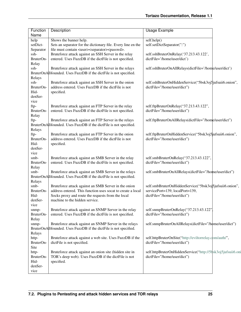| Function<br>Name   | Description                                                              | <b>Usage Example</b>                                                  |  |
|--------------------|--------------------------------------------------------------------------|-----------------------------------------------------------------------|--|
| help               | Shows the banner help.                                                   | self.help()                                                           |  |
| setDict-           | Sets an separator for the dictionary file. Every line en the             | self.setDictSeparator(":")                                            |  |
| Separator          | file must contain <user><separator><passwd>.</passwd></separator></user> |                                                                       |  |
| ssh-               | Bruteforce attack against an SSH Server in the relay                     |                                                                       |  |
| BruterOn-          | entered. Uses FuzzDB if the dictFile is not specified.                   | self.sshBruterOnRelay('37.213.43.122',<br>dictFile='/home/user/dict') |  |
| Relay              |                                                                          |                                                                       |  |
| ssh-               | Bruteforce attack against an SSH Server in the relays                    | self.sshBruterOnAllRelays(dictFile='/home/user/dict')                 |  |
|                    | BruterOnAllfounded. Uses FuzzDB if the dictFile is not specified.        |                                                                       |  |
| Relays             |                                                                          |                                                                       |  |
| ssh-               | Bruteforce attack against an SSH Server in the onion                     | self.sshBruterOnHiddenService("5bsk3oj5jufsuii6.onion",               |  |
| BruterOn-          | address entered. Uses FuzzDB if the dictFile is not                      | dictFile="/home/user/dict")                                           |  |
| Hid-               | specified.                                                               |                                                                       |  |
| denSer-            |                                                                          |                                                                       |  |
| vice               |                                                                          |                                                                       |  |
| ftp-               | Bruteforce attack against an FTP Server in the relay                     | self.ftpBruterOnRelay("37.213.43.122",                                |  |
| BruterOn-          | entered. Uses FuzzDB if the dictFile is not specified.                   | dictFile="/home/user/dict")                                           |  |
| Relay              |                                                                          |                                                                       |  |
| ftp-               | Bruteforce attack against an FTP Server in the relays                    | self.ftpBruterOnAllRelays(dictFile="/home/user/dict")                 |  |
|                    | BruterOnAllfounded. Uses FuzzDB if the dictFile is not specified.        |                                                                       |  |
| Relays             |                                                                          |                                                                       |  |
| ftp-               | Bruteforce attack against an FTP Server in the onion                     | self.ftpBruterOnHiddenService("5bsk3oj5 jufsuii6.onion",              |  |
| BruterOn-          | address entered. Uses FuzzDB if the dictFile is not                      | dictFile="/home/user/dict")                                           |  |
| Hid-               | specified.                                                               |                                                                       |  |
| denSer-            |                                                                          |                                                                       |  |
| vice               |                                                                          |                                                                       |  |
| smb-               | Bruteforce attack against an SMB Server in the relay                     | self.smbBruterOnRelay("37.213.43.122",                                |  |
| BruterOn-          | entered. Uses FuzzDB if the dictFile is not specified.                   | dictFile="/home/user/dict")                                           |  |
| Relay              |                                                                          |                                                                       |  |
| smb-               | Bruteforce attack against an SMB Server in the relays                    | self.smbBruterOnAllRelays(dictFile="/home/user/dict")                 |  |
|                    | BruterOnAllfounded. Uses FuzzDB if the dictFile is not specified.        |                                                                       |  |
| Relays             |                                                                          |                                                                       |  |
| smb-               | Bruteforce attack against an SMB Server in the onion                     | self.smbBruterOnHiddenService("5bsk3oj 5jufsuii6.onion",              |  |
| BruterOn-          | address entered. This function uses socat to create a local              | servicePort=139, localPort=139,                                       |  |
| Hid-               | Socks proxy and route the requests from the local                        | dictFile="/home/user/dict")                                           |  |
| denSer-            | machine to the hidden service.                                           |                                                                       |  |
|                    |                                                                          |                                                                       |  |
| vice               |                                                                          | self.snmpBruterOnRelay("37.213.43.122"                                |  |
| snmp-<br>BruterOn- | Bruteforce attack against an SNMP Server in the relay                    |                                                                       |  |
|                    | entered. Uses FuzzDB if the dictFile is not specified.                   | dictFile="/home/user/dict")                                           |  |
| Relay              |                                                                          | self.snmpBruterOnAllRelays(dictFile="/home/user/dict")                |  |
| snmp-              | Bruteforce attack against an SNMP Server in the relays                   |                                                                       |  |
|                    | BruterOnAllfounded. Uses FuzzDB if the dictFile is not specified.        |                                                                       |  |
| Relays             |                                                                          |                                                                       |  |
| http-              | Bruteforce attack against a web site. Uses FuzzDB if the                 | self.httpBruterOnSite("http://eviltorrelay.com/auth/",                |  |
| BruterOn-          | dictFile is not specified.                                               | dictFile="/home/user/dict")                                           |  |
| Site               |                                                                          |                                                                       |  |
| http-              | Bruteforce attack against an onion site (hidden site in                  | self.httpBruterOnHiddenService("http://5bsk3oj5jufsuii6.oni           |  |
| BruterOn-          | TOR's deep web). Uses FuzzDB if the dictFile is not                      | dictFile="/home/user/dict")                                           |  |
| Hid-               | specified.                                                               |                                                                       |  |
| denSer-            |                                                                          |                                                                       |  |
| vice               |                                                                          |                                                                       |  |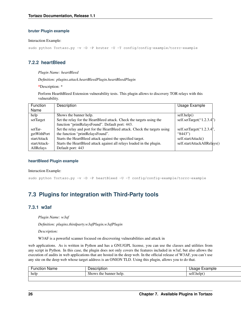#### **bruter Plugin example**

#### Interaction Example:

sudo python Tortazo.py -v -D -P bruter -U -T config/config-example/torrc-example

### **7.2.2 heartBleed**

#### *Plugin Name: heartBleed*

*Definition: plugins.attack.heartBleedPlugin.heartBleedPlugin*

\*Description: \*

Perform HearthBleed Extension vulnerability tests. This plugin allows to discovery TOR relays with this vulnerability.

| Function     | Description                                                               | Usage Example                 |
|--------------|---------------------------------------------------------------------------|-------------------------------|
| Name         |                                                                           |                               |
| help         | Shows the banner help.                                                    | self.help()                   |
| setTarget    | Set the relay for the HeartBleed attack. Check the targets using the      | self.setTarget(" $1.2.3.4$ ") |
|              | function "printRelaysFound". Default port: 443.                           |                               |
| setTar-      | Set the relay and port for the HeartBleed attack. Check the targets using | self.setTarget("1.2.3.4",     |
| getWithPort  | the function "printRelaysFound".                                          | " $8443"$                     |
| startAttack  | Starts the HeartBleed attack against the specified target.                | self.startAttack()            |
| startAttack- | Starts the HeartBleed attack against all relays loaded in the plugin.     | self.startAttackAllRelays()   |
| AllRelays    | Default port: 443                                                         |                               |

#### **heartBleed Plugin example**

#### Interaction Example:

sudo python Tortazo.py -v -D -P heartBleed -U -T config/config-example/torrc-example

## <span id="page-29-0"></span>**7.3 Plugins for integration with Third-Party tools**

### **7.3.1 w3af**

*Plugin Name: w3af*

*Definition: plugins.thirdparty.w3afPlugin.w3afPlugin*

*Description:*

W3AF is a powerful scanner focused on discovering vulnerabilities and attack in

web applications. As is written in Python and has a GNU/GPL license, you can use the classes and utilities from any script in Python. In this case, the plugin does not only covers the features included in w3af, but also allows the execution of audits in web applications that are hosted in the deep web. In the official release of W3AF, you can't use any site on the deep web whose target address is an ONION TLD. Using this plugin, allows you to do that.

| $\overline{\phantom{0}}$<br>Name<br>- - -<br>.<br>жног | $-11111$<br>$\cdots$               | ∍mple                                  |
|--------------------------------------------------------|------------------------------------|----------------------------------------|
| help                                                   | ner<br>help<br>the<br>snow<br>banr | . .<br>hain.<br>$c_{\text{el}}$<br>JU. |
|                                                        |                                    |                                        |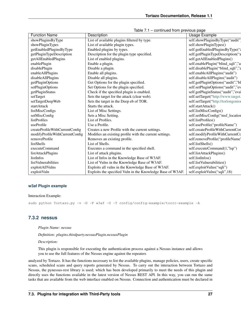| <b>Function Name</b>           | Description                                                | Usage Example                       |
|--------------------------------|------------------------------------------------------------|-------------------------------------|
| showPluginsByType              | List of available plugins filtered by type.                | self.showPluginsByType("audit")     |
| showPluginTypes                | List of available plugin types.                            | self.showPluginTypes()              |
| getEnabledPluginsByType        | Enabled plugins by types.                                  | self.getEnabledPluginsByType(";     |
| getPluginTypeDescription       | Description for the plugin type specified.                 | self.getPluginTypeDescription("a    |
| getAllEnabledPlugins           | List of enabled plugins.                                   | self.getAllEnabledPlugins()         |
| enablePlugin                   | Enable a plugin.                                           | self.enablePlugin("blind_sqli","a   |
| disablePlugin                  | Disable a plugin.                                          | self.disablePlugin("blind_sqli","a  |
| enableAllPlugins               | Enable all plugins.                                        | self.enableAllPlugins("audit")      |
| disableAllPlugins              | Disable all plugins.                                       | self.disableAllPlugins("audit")     |
| getPluginOptions               | Get Options for the plugin specified.                      | self.getPluginOptions("audit","bl   |
| setPluginOptions               | Set Options for the plugin specified.                      | self.setPluginOptions("audit","ev   |
| getPluginStatus                | Check if the specified plugin is enabled.                  | self.getPluginStatus("audit","eval  |
| setTarget                      | Sets the target for the attack (clear web).                | self.setTarget("http://www.target.  |
| setTargetDeepWeb               | Sets the target in the Deep eb of TOR.                     | self.setTarget("http://torlongoniol |
| startAttack                    | Starts the attack.                                         | self.startAttack()                  |
| listMiscConfigs                | List of Misc Settings.                                     | self.listMiscConfigs()              |
| setMiscConfig                  | Sets a Misc Setting.                                       | self.setMiscConfig("msf_location    |
| listProfiles                   | List of Profiles.                                          | self.listProfiles()                 |
| useProfile                     | Use a Profile.                                             | self.useProfile("profileName")      |
| createProfileWithCurrentConfig | Creates a new Profile with the current settings.           | self.createProfileWithCurrentCor    |
| modifyProfileWithCurrentConfig | Modifies an existing profile with the current settings.    | self.modifyProfileWithCurrentCo     |
| removeProfile                  | Removes an existing profile.                               | self.removeProfile("profileName"    |
| listShells                     | List of Shells.                                            | self.listShells()                   |
| executeCommand                 | Executes a command in the specified shell.                 | self.executeCommand(1,"lsp")        |
| listAttackPlugins              | List of attack plugins.                                    | self.listAttackPlugins()            |
| listInfos                      | List of Infos in the Knowledge Base of W3AF.               | self.listInfos()                    |
| listVulnerabilities            | List of Vulns in the Knowledge Base of W3AF.               | self.listVulnerabilities()          |
| exploitAllVulns                | Exploits all vulns in the Knowledge Base of W3AF.          | self.exploitVulns("sqli")           |
| exploitVuln                    | Exploits the specified Vuln in the Knowledge Base of W3AF. | self.exploitVulns("sqli",18)        |

Table 7.1 – continued from previous page

#### **w3af Plugin example**

#### Interaction Example:

sudo python Tortazo.py -v -D -P w3af -U -T config/config-example/torrc-example -A

### **7.3.2 nessus**

#### *Plugin Name: nessus*

*Definition: plugins.thirdparty.nessusPlugin.nessusPlugin*

#### *Description:*

This plugin is responsible for executing the authentication process against a Nessus instance and allows you to use the full features of the Nessus engine against the repeaters

analyzed by Tortazo. It has the functions necessary to list the available plugins, manage policies, users, create specific scans, scheduled scans and query reports generated by Nessus. To carry out the interaction between Tortazo and Nessus, the pynessus-rest library is used; which has been developed primarily to meet the needs of this plugin and directly uses the functions available in the latest version of Nessus REST API. In this way, you can run the same tasks that are available from the web interface enabled on Nessus. Connection and authentication must be declared in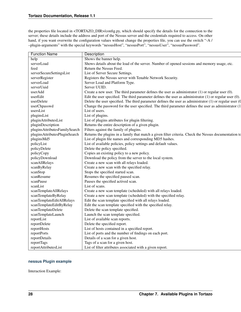the properties file located in <TORTAZO\_DIR>/config.py, which should specify the details for the connection to the server; these details include the address and port of the Nessus server and the credentials required to access. On other hand, if you want overwrite the configuration values without change the properties file, you can use the switch "-A / –plugin-arguments" with the special keywords "nessusHost", "nessusPort", "nessusUser", "nessusPassword".

| <b>Function Name</b>          | Description                                                                                                  |
|-------------------------------|--------------------------------------------------------------------------------------------------------------|
| help                          | Shows the banner help.                                                                                       |
| serverLoad                    | Shows details about the load of the server. Number of opened sessions and memory usage, etc.                 |
| feed                          | Return the Nessus Feed.                                                                                      |
| serverSecureSettingsList      | List of Server Secure Settings.                                                                              |
| serverRegister                | Registers the Nessus server with Tenable Network Security.                                                   |
| serverLoad                    | Server Load and Platform Type.                                                                               |
| serverUuid                    | Server UUID.                                                                                                 |
| userAdd                       | Create a new user. The third parameter defines the user as administrator $(1)$ or regular user $(0)$ .       |
| userEdit                      | Edit the user specified. The third parameter defines the user as administrator $(1)$ or regular user $(0)$ . |
| userDelete                    | Delete the user specified. The third parameter defines the user as administrator $(1)$ or regular user $(0)$ |
| userChpasswd                  | Change the password for the user specified. The third parameter defines the user as administrator (1         |
| usersList                     | List of users.                                                                                               |
| pluginsList                   | List of plugins.                                                                                             |
| pluginAttributesList          | List of plugins attributes for plugin filtering.                                                             |
| pluginDescription             | Returns the entire description of a given plugin.                                                            |
| pluginsAttributesFamilySearch | Filters against the family of plugins.                                                                       |
| pluginsAttributesPluginSearch | Returns the plugins in a family that match a given filter criteria. Check the Nessus documentation to        |
| pluginsMd5                    | List of plugin file names and corresponding MD5 hashes.                                                      |
| policyList                    | List of available policies, policy settings and default values.                                              |
| policyDelete                  | Delete the policy specified.                                                                                 |
| policyCopy                    | Copies an existing policy to a new policy.                                                                   |
| policyDownload                | Download the policy from the server to the local system.                                                     |
| scanAllRelays                 | Create a new scan with all relays loaded.                                                                    |
| scanByRelay                   | Create a new scan with the specified relay.                                                                  |
| scanStop                      | Stops the specified started scan.                                                                            |
|                               |                                                                                                              |
| scanResume                    | Resumes the specified paused scan.                                                                           |
| scanPause                     | Pauses the specified actived scan.                                                                           |
| scanList                      | List of scans.                                                                                               |
| scanTemplateAllRelays         | Create a new scan template (scheduled) with all relays loaded.                                               |
| scanTemplateByRelay           | Create a new scan template (scheduled) with the specified relay.                                             |
| scanTemplateEditAllRelays     | Edit the scan template specified with all relays loaded.                                                     |
| scanTemplateEditByRelay       | Edit the scan template specified with the specified relay.                                                   |
| scanTemplateDelete            | Delete the scan template specified.                                                                          |
| scanTemplateLaunch            | Launch the scan template specified.                                                                          |
| reportList                    | List of available scan reports.                                                                              |
| reportDelete                  | Delete the specified report.                                                                                 |
| reportHosts                   | List of hosts contained in a specified report.                                                               |
| reportPorts                   | List of ports and the number of findings on each port.                                                       |
| reportDetails                 | Details of a scan for a given host.                                                                          |
| reportTags                    | Tags of a scan for a given host.                                                                             |
| reportAttributesList          | List of filter attributes associated with a given report.                                                    |

#### **nessus Plugin example**

Interaction Example: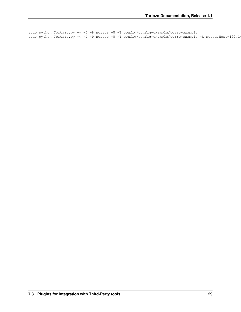sudo python Tortazo.py -v -D -P nessus -U -T config/config-example/torrc-example sudo python Tortazo.py -v -D -P nessus -U -T config/config-example/torrc-example -A nessusHost=192.1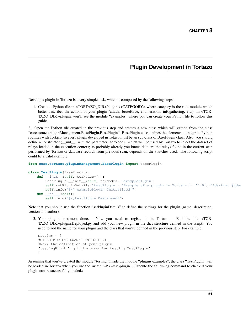## **Plugin Development in Tortazo**

<span id="page-34-0"></span>Develop a plugin in Tortazo is a very simple task, which is composed by the following steps:

1. Create a Python file in <TORTAZO\_DIR>/plugins/<CATEGORY> where category is the root module which better describes the actions of your plugin (attack, bruteforce, enumeration, infogathering, etc.) In <TOR-TAZO\_DIR>/plugins you'll see the module "examples" where you can create your Python file to follow this guide.

2. Open the Python file created in the previous step and creates a new class which will extend from the class "core.tortazo.pluginManagement.BasePlugin.BasePlugin". BasePlugin class defines the elements to integrate Python routines with Tortazo, so every plugin developed in Totazo must be an sub-class of BasePlugin class. Also, you should define a constructor (*\_\_init\_\_*) with the parameter "torNodes" which will be used by Tortazo to inject the dataset of relays loaded in the execution context; as probably already you know, data are the relays found in the current scan performed by Tortazo or database records from previous scan, depends on the switches used. The following script could be a valid example

```
from core.tortazo.pluginManagement.BasePlugin import BasePlugin
```

```
class TestPlugin(BasePlugin):
    def __init__(self, torNodes=[]):
        BasePlugin.__init__(self, torNodes, 'examplePlugin')
        self.setPluginDetails('testPlugin', 'Example of a plugin in Tortazo.', '1.0', 'Adastra: @jdaa
        self.info("[*] examplePlugin Initialized!")
    def __del__(self):
        self.info("[*]testPlugin Destroyed!")
```
Note that you should use the function "setPluginDetails" to define the settings for the plugin (name, description, version and author).

3. Your plugin is almost done. Now you need to register it in Tortazo. Edit the file <TOR-TAZO\_DIR>/pluginsDeployed.py and add your new plugin in the dict structure defined in the script. You need to add the name for your plugin and the class that you've defined in the previous step. For example

```
plugins = {
#OTHER PLUGINS LOADED IN TORTAZO
#Now, the definition of your plugin.
"testingPlugin": plugins.examples.testing.TestPlugin"
}
```
Assuming that you've created the module "testing" inside the module "plugins.examples", the class "TestPlugin" will be loaded in Tortazo when you use the switch "-P / –use-plugin". Execute the following command to check if your plugin can be successfully loaded.: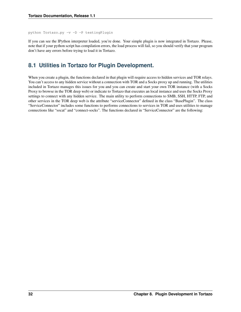python Tortazo.py -v -D -P testingPlugin

If you can see the IPython interpreter loaded, you're done. Your simple plugin is now integrated in Tortazo. Please, note that if your python script has compilation errors, the load process will fail, so you should verify that your program don't have any errors before trying to load it in Tortazo.

## <span id="page-35-0"></span>**8.1 Utilities in Tortazo for Plugin Development.**

When you create a plugin, the functions declared in that plugin will require access to hidden services and TOR relays. You can't access to any hidden service without a connection with TOR and a Socks proxy up and running. The utilities included in Tortazo manages this issues for you and you can create and start your own TOR instance (with a Socks Proxy to browse in the TOR deep web) or indicate to Tortazo that executes an local instance and uses the Socks Proxy settings to connect with any hidden service. The main utility to perform connections to SMB, SSH, HTTP, FTP, and other services in the TOR deep web is the attribute "serviceConnector" defined in the class "BasePlugin". The class "ServiceConnector" includes some functions to performs connections to services in TOR and uses utilities to manage connections like "socat" and "connect-socks". The functions declared in "ServiceConnector" are the following: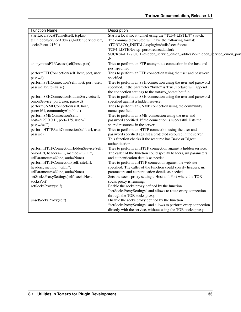| <b>Function Name</b>                              | Description                                                                                                                                               |  |
|---------------------------------------------------|-----------------------------------------------------------------------------------------------------------------------------------------------------------|--|
| startLocalSocatTunnel(self, tcpLis-               | Starts a local socat tunnel using the "TCP4-LISTEN" switch.                                                                                               |  |
| ten, hidden Service Address, hidden Service Port, | The command executed will have the following format:                                                                                                      |  |
| socksPort='9150')                                 | <tortazo_install>/plugins/utils/socat/socat</tortazo_install>                                                                                             |  |
|                                                   | TCP4-LISTEN: <tcp_port>,reuseaddr,fork</tcp_port>                                                                                                         |  |
|                                                   | SOCKS4A:127.0.0.1: <hidden_service_onion_address>:<hidden_service_onion_port< td=""><td></td></hidden_service_onion_port<></hidden_service_onion_address> |  |
|                                                   | &                                                                                                                                                         |  |
| anonymousFTPAccess(self,host, port)               | Tries to perform an FTP anonymous connection in the host and                                                                                              |  |
|                                                   | port specified.                                                                                                                                           |  |
| performFTPConnection(self, host, port, user,      | Tries to perform an FTP connection using the user and password                                                                                            |  |
| passwd)                                           | specified.                                                                                                                                                |  |
| performSSHConnection(self, host, port, user,      | Tries to perform an SSH connection using the user and password                                                                                            |  |
| passwd, brute=False)                              | specified. If the parameter "brute" is True, Tortazo will append                                                                                          |  |
|                                                   | the connection settings to the tortazo_botnet.bot file.                                                                                                   |  |
| performSSHConnectionHiddenService(self,           | Tries to perform an SSH connection using the user and password                                                                                            |  |
| onionService, port, user, passwd)                 | specified against a hidden service.                                                                                                                       |  |
| performSNMPConnection(self, host,                 | Tries to perform an SNMP connection using the community                                                                                                   |  |
| port=161, community='public')                     | name specified.                                                                                                                                           |  |
| performSMBConnection(self,                        | Tries to perform an SMB connection using the user and                                                                                                     |  |
| host='127.0.0.1', port=139, user="",              | password specified. If the connection is successful, lists the                                                                                            |  |
| $passwd="")$                                      | shared resources in the server.                                                                                                                           |  |
| performHTTPAuthConnection(self, url, user,        | Tries to perform an HTTP connection using the user and                                                                                                    |  |
| passwd)                                           | password specified against a protected resource in the server.                                                                                            |  |
|                                                   | This function checks if the resource has Basic or Digest                                                                                                  |  |
|                                                   | authentication.                                                                                                                                           |  |
| performHTTPConnectionHiddenService(self,          | Tries to perform an HTTP connection against a hidden service.                                                                                             |  |
| onionUrl, headers={}, method="GET",               | The caller of the function could specify headers, url parameters                                                                                          |  |
| urlParameters=None, auth=None)                    | and authentication details as needed.                                                                                                                     |  |
| performHTTPConnection(self, siteUrl,              | Tries to perform a HTTP connection against the web site                                                                                                   |  |
| headers, method="GET",                            | specified. The caller of the function could specify headers, url                                                                                          |  |
| urlParameters=None, auth=None)                    | parameters and authentication details as needed.                                                                                                          |  |
| setSocksProxySettings(self, socksHost,            | Sets the socks proxy settings. Host and Port where the TOR                                                                                                |  |
| socksPort)                                        | socks proxy is running.                                                                                                                                   |  |
| setSocksProxy(self)                               | Enable the socks proxy defined by the function                                                                                                            |  |
|                                                   | "setSocksProxySettings" and allows to route every connection                                                                                              |  |
|                                                   | through the TOR socks proxy.                                                                                                                              |  |
| unsetSocksProxy(self)                             | Disable the socks proxy defined by the function                                                                                                           |  |
|                                                   | "setSocksProxySettings" and allows to perform every connection                                                                                            |  |
|                                                   | directly with the service, without using the TOR socks proxy.                                                                                             |  |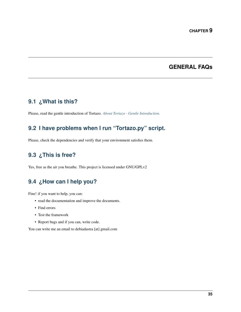## **GENERAL FAQs**

## <span id="page-38-1"></span><span id="page-38-0"></span>**9.1 ¿What is this?**

Please, read the gentle introduction of Tortazo. *[About Tortazo - Gentle Introduction.](#page-6-0)*

## <span id="page-38-2"></span>**9.2 I have problems when I run "Tortazo.py" script.**

Please, check the dependencies and verify that your environment satisfies them.

## <span id="page-38-3"></span>**9.3 ¿This is free?**

Yes, free as the air you breathe. This project is licensed under GNU/GPLv2

## <span id="page-38-4"></span>**9.4 ¿How can I help you?**

Fine! if you want to help, you can:

- read the documentation and improve the documents.
- Find errors
- Test the framework
- Report bugs and if you can, write code.

You can write me an email to debiadastra [at] gmail.com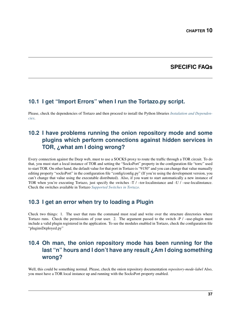## **SPECIFIC FAQs**

## <span id="page-40-1"></span><span id="page-40-0"></span>**10.1 I get "Import Errors" when I run the Tortazo.py script.**

Please, check the dependencies of Tortazo and then proceed to install the Python libraries *[Instalation and Dependen](#page-8-1)[cies](#page-8-1)*.

## <span id="page-40-2"></span>**10.2 I have problems running the onion repository mode and some plugins which perform connections against hidden services in TOR, ¿what am I doing wrong?**

Every connection against the Deep web, must to use a SOCKS proxy to route the traffic through a TOR circuit. To do that, you must start a local instance of TOR and setting the "SocksPort" property in the configuration file "torrc" used to start TOR. On other hand, the default value for that port in Tortazo is "9150" and you can change that value manually editing property "socksPort" in the configuration file "config/config.py" (If you're using the development version, you can't change that value using the executable distributed). Also, if you want to start automatically a new instance of TOR when you're executing Tortazo, just specify the switches -T / -tor-localinstance and -U / -use-localinstance. Check the switches available in Tortazo *[Supported Switches in Tortazo.](#page-20-0)*

## <span id="page-40-3"></span>**10.3 I get an error when try to loading a Plugin**

Check two things: 1. The user that runs the command must read and write over the structure directories where Tortazo runs. Check the permissions of your user. 2. The argument passed to the switch -P / –use-plugin must include a valid plugin registered in the application. To see the modules enabled in Tortazo, check the configuration file "pluginsDeployed.py"

## <span id="page-40-4"></span>**10.4 Oh man, the onion repository mode has been running for the last "n" hours and I don't have any result ¿Am I doing something wrong?**

Well, this could be something normal. Please, check the onion repository documentation *repository-mode-label* Also, you must have a TOR local instance up and running with the SocksPort property enabled.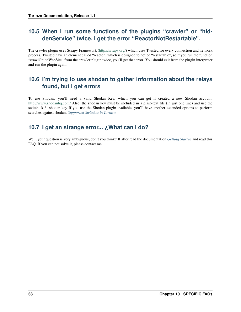## <span id="page-41-0"></span>**10.5 When I run some functions of the plugins "crawler" or "hiddenService" twice, I get the error "ReactorNotRestartable".**

The crawler plugin uses Scrapy Framework [\(http://scrapy.org/\)](http://scrapy.org/) which uses Twisted for every connection and network process. Twisted have an element called "reactor" which is designed to not be "restartable", so if you run the function "crawlOnionWebSite" from the crawler plugin twice, you'll get that error. You should exit from the plugin interpreter and run the plugin again.

## <span id="page-41-1"></span>**10.6 I'm trying to use shodan to gather information about the relays found, but I get errors**

To use Shodan, you'll need a valid Shodan Key, which you can get if created a new Shodan account. <http://www.shodanhq.com/> Also, the shodan key must be included in a plain-text file (in just one line) and use the switch -k / -shodan-key If you use the Shodan plugin available, you'll have another extended options to perform searches against shodan. *[Supported Switches in Tortazo.](#page-20-0)*

## <span id="page-41-2"></span>**10.7 I get an strange error... ¿What can I do?**

Well, your question is very ambiguous, don't you think? If after read the documentation *[Getting Started](#page-8-0)* and read this FAQ. If you can not solve it, please contact me.